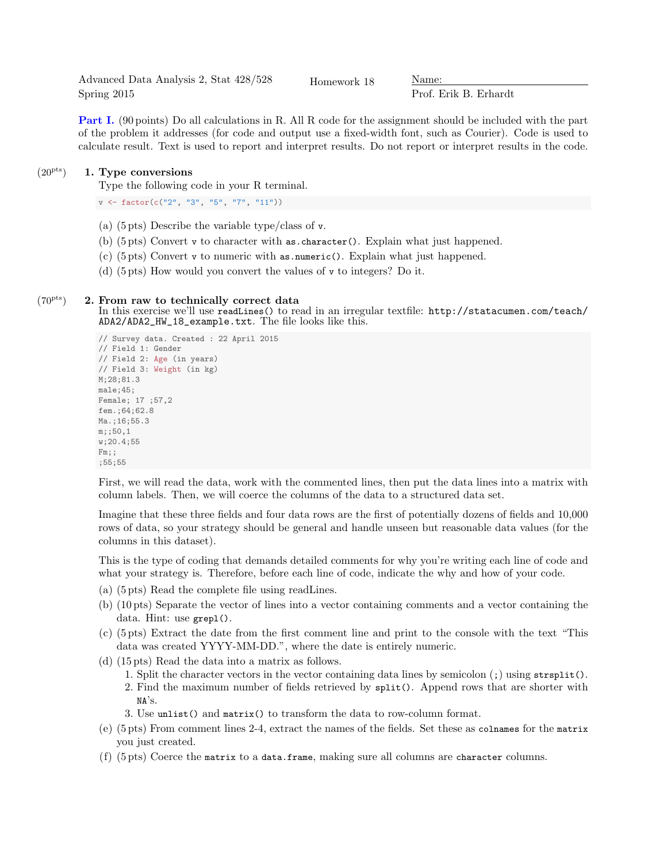Advanced Data Analysis 2, Stat 428/528 Spring 2015

Homework 18 Mame:

Prof. Erik B. Erhardt

Part I. (90 points) Do all calculations in R. All R code for the assignment should be included with the part of the problem it addresses (for code and output use a fixed-width font, such as Courier). Code is used to calculate result. Text is used to report and interpret results. Do not report or interpret results in the code.

## $(20<sup>pts</sup>)$  1. Type conversions

Type the following code in your R terminal.

v <- factor(c("2", "3", "5", "7", "11"))

- (a) (5 pts) Describe the variable type/class of v.
- (b) (5 pts) Convert v to character with as.character(). Explain what just happened.
- (c) (5 pts) Convert v to numeric with as.numeric(). Explain what just happened.
- (d) (5 pts) How would you convert the values of v to integers? Do it.

## $(70<sup>pts</sup>)$  2. From raw to technically correct data

In this exercise we'll use readLines() to read in an irregular textfile: http://statacumen.com/teach/ ADA2/ADA2\_HW\_18\_example.txt. The file looks like this.

```
// Survey data. Created : 22 April 2015
// Field 1: Gender
// Field 2: Age (in years)
// Field 3: Weight (in kg)
M;28;81.3
male;45;
Female; 17 ;57,2
fem.;64;62.8
Ma.; 16; 55.3
m;;50,1
w;20.4;55
Fm;;
;55;55
```
First, we will read the data, work with the commented lines, then put the data lines into a matrix with column labels. Then, we will coerce the columns of the data to a structured data set.

Imagine that these three fields and four data rows are the first of potentially dozens of fields and 10,000 rows of data, so your strategy should be general and handle unseen but reasonable data values (for the columns in this dataset).

This is the type of coding that demands detailed comments for why you're writing each line of code and what your strategy is. Therefore, before each line of code, indicate the why and how of your code.

- (a) (5 pts) Read the complete file using readLines.
- (b) (10 pts) Separate the vector of lines into a vector containing comments and a vector containing the data. Hint: use grepl().
- (c) (5 pts) Extract the date from the first comment line and print to the console with the text "This data was created YYYY-MM-DD.", where the date is entirely numeric.
- (d) (15 pts) Read the data into a matrix as follows.
	- 1. Split the character vectors in the vector containing data lines by semicolon (;) using strsplit().
	- 2. Find the maximum number of fields retrieved by split(). Append rows that are shorter with NA's.
	- 3. Use unlist() and matrix() to transform the data to row-column format.
- (e) (5 pts) From comment lines 2-4, extract the names of the fields. Set these as colnames for the matrix you just created.
- (f) (5 pts) Coerce the matrix to a data.frame, making sure all columns are character columns.